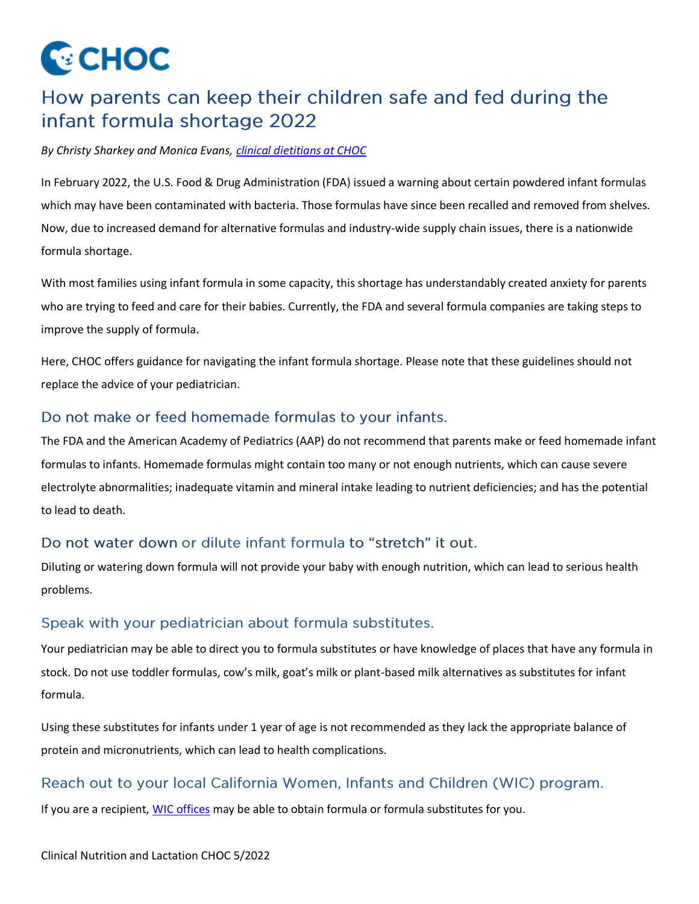

# How parents can keep their children safe and fed during the infant formula shortage 2022

#### *By Christy Sharkey and Monica Evans[, clinical dietitians at CHOC](https://www.choc.org/programs-services/nutrition/)*

In February 2022, the U.S. Food & Drug Administration (FDA) issued a warning about certain powdered infant formulas which may have been contaminated with bacteria. Those formulas have since been recalled and removed from shelves. Now, due to increased demand for alternative formulas and industry-wide supply chain issues, there is a nationwide formula shortage.

With most families using infant formula in some capacity, this shortage has understandably created anxiety for parents who are trying to feed and care for their babies. Currently, the FDA and several formula companies are taking steps to improve the supply of formula.

Here, CHOC offers guidance for navigating the infant formula shortage. Please note that these guidelines should not replace the advice of your pediatrician.

## Do not make or feed homemade formulas to your infants.

The FDA and the American Academy of Pediatrics (AAP) do not recommend that parents make or feed homemade infant formulas to infants. Homemade formulas might contain too many or not enough nutrients, which can cause severe electrolyte abnormalities; inadequate vitamin and mineral intake leading to nutrient deficiencies; and has the potential to lead to death.

## Do not water down or dilute infant formula to "stretch" it out.

Diluting or watering down formula will not provide your baby with enough nutrition, which can lead to serious health problems.

#### Speak with your pediatrician about formula substitutes.

Your pediatrician may be able to direct you to formula substitutes or have knowledge of places that have any formula in stock. Do not use toddler formulas, cow's milk, goat's milk or plant-based milk alternatives as substitutes for infant formula.

Using these substitutes for infants under 1 year of age is not recommended as they lack the appropriate balance of protein and micronutrients, which can lead to health complications.

## Reach out to your local California Women, Infants and Children (WIC) program.

If you are a recipient, [WIC offices](https://myfamily.wic.ca.gov/Home/WICOfficeGrocer) may be able to obtain formula or formula substitutes for you.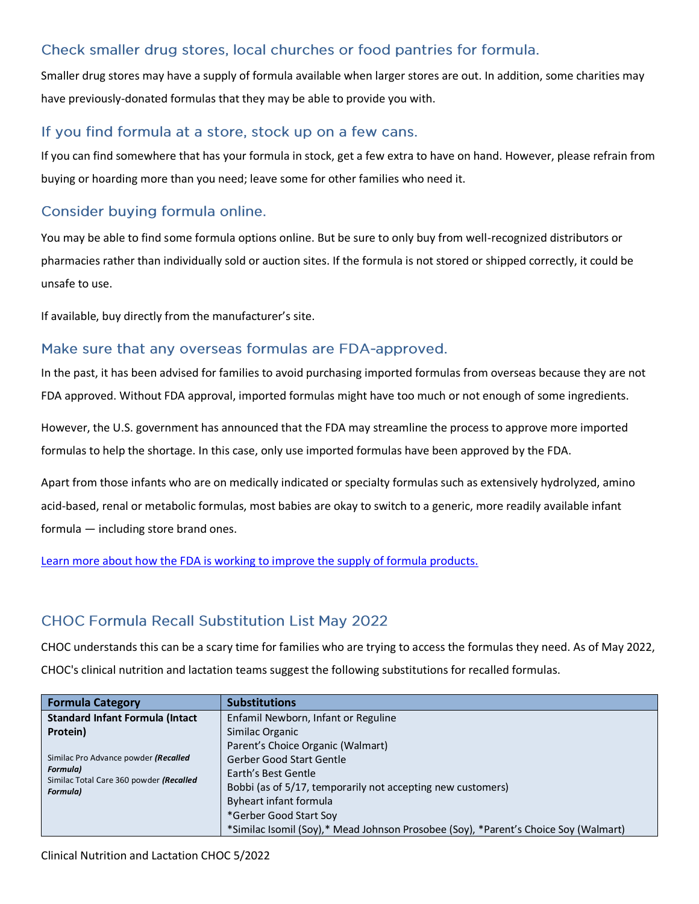# Check smaller drug stores, local churches or food pantries for formula.

Smaller drug stores may have a supply of formula available when larger stores are out. In addition, some charities may have previously-donated formulas that they may be able to provide you with.

### If you find formula at a store, stock up on a few cans.

If you can find somewhere that has your formula in stock, get a few extra to have on hand. However, please refrain from buying or hoarding more than you need; leave some for other families who need it.

# Consider buying formula online.

You may be able to find some formula options online. But be sure to only buy from well-recognized distributors or pharmacies rather than individually sold or auction sites. If the formula is not stored or shipped correctly, it could be unsafe to use.

If available, buy directly from the manufacturer's site.

## Make sure that any overseas formulas are FDA-approved.

In the past, it has been advised for families to avoid purchasing imported formulas from overseas because they are not FDA approved. Without FDA approval, imported formulas might have too much or not enough of some ingredients.

However, the U.S. government has announced that the FDA may streamline the process to approve more imported formulas to help the shortage. In this case, only use imported formulas have been approved by the FDA.

Apart from those infants who are on medically indicated or specialty formulas such as extensively hydrolyzed, amino acid-based, renal or metabolic formulas, most babies are okay to switch to a generic, more readily available infant formula — including store brand ones.

[Learn more about how the FDA is working to improve the supply of formula products.](https://www.fda.gov/news-events/press-announcements/fda-takes-important-steps-improve-supply-infant-and-specialty-formula-products?utm_medium=email&utm_source=govdelivery)

## **CHOC Formula Recall Substitution List May 2022**

CHOC understands this can be a scary time for families who are trying to access the formulas they need. As of May 2022, CHOC's clinical nutrition and lactation teams suggest the following substitutions for recalled formulas.

| <b>Formula Category</b>                                                                                               | <b>Substitutions</b>                                                                |
|-----------------------------------------------------------------------------------------------------------------------|-------------------------------------------------------------------------------------|
| <b>Standard Infant Formula (Intact</b>                                                                                | Enfamil Newborn, Infant or Reguline                                                 |
| Protein)                                                                                                              | Similac Organic                                                                     |
| Similac Pro Advance powder (Recalled<br><b>Formula)</b><br>Similac Total Care 360 powder (Recalled<br><b>Formula)</b> | Parent's Choice Organic (Walmart)                                                   |
|                                                                                                                       | Gerber Good Start Gentle                                                            |
|                                                                                                                       | Earth's Best Gentle                                                                 |
|                                                                                                                       | Bobbi (as of 5/17, temporarily not accepting new customers)                         |
|                                                                                                                       | Byheart infant formula                                                              |
|                                                                                                                       | *Gerber Good Start Soy                                                              |
|                                                                                                                       | *Similac Isomil (Soy),* Mead Johnson Prosobee (Soy), *Parent's Choice Soy (Walmart) |

Clinical Nutrition and Lactation CHOC 5/2022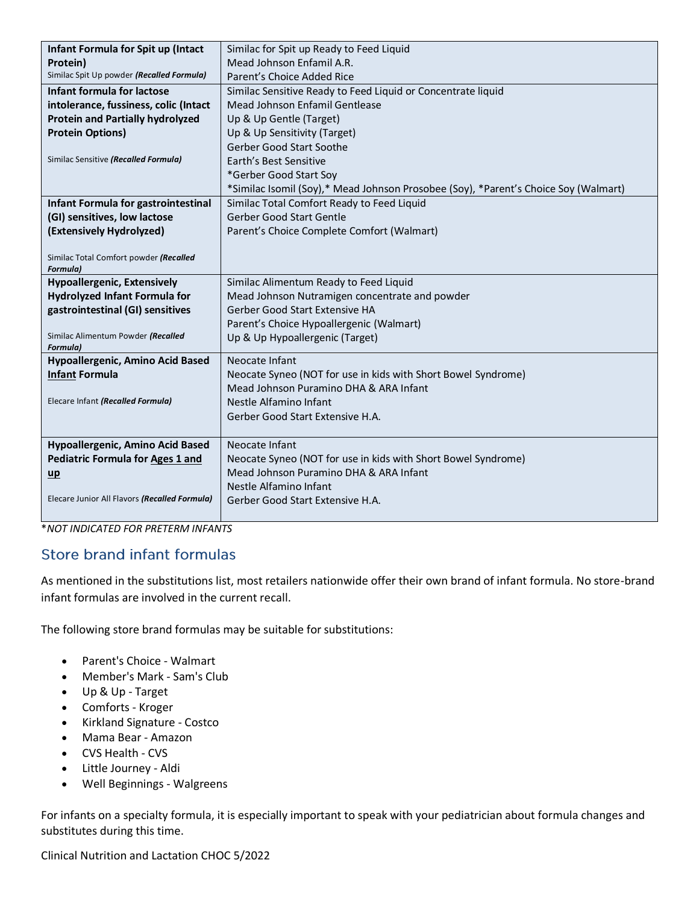| Infant Formula for Spit up (Intact                        | Similac for Spit up Ready to Feed Liquid                                            |
|-----------------------------------------------------------|-------------------------------------------------------------------------------------|
| Protein)                                                  | Mead Johnson Enfamil A.R.                                                           |
| Similac Spit Up powder (Recalled Formula)                 | Parent's Choice Added Rice                                                          |
| Infant formula for lactose                                | Similac Sensitive Ready to Feed Liquid or Concentrate liquid                        |
| intolerance, fussiness, colic (Intact                     | Mead Johnson Enfamil Gentlease                                                      |
| <b>Protein and Partially hydrolyzed</b>                   | Up & Up Gentle (Target)                                                             |
| <b>Protein Options)</b>                                   | Up & Up Sensitivity (Target)                                                        |
|                                                           | <b>Gerber Good Start Soothe</b>                                                     |
| Similac Sensitive (Recalled Formula)                      | Earth's Best Sensitive                                                              |
|                                                           | *Gerber Good Start Soy                                                              |
|                                                           | *Similac Isomil (Soy),* Mead Johnson Prosobee (Soy), *Parent's Choice Soy (Walmart) |
| Infant Formula for gastrointestinal                       | Similac Total Comfort Ready to Feed Liquid                                          |
| (GI) sensitives, low lactose                              | <b>Gerber Good Start Gentle</b>                                                     |
| (Extensively Hydrolyzed)                                  | Parent's Choice Complete Comfort (Walmart)                                          |
|                                                           |                                                                                     |
| Similac Total Comfort powder (Recalled<br><b>Formula)</b> |                                                                                     |
| <b>Hypoallergenic, Extensively</b>                        | Similac Alimentum Ready to Feed Liquid                                              |
| <b>Hydrolyzed Infant Formula for</b>                      | Mead Johnson Nutramigen concentrate and powder                                      |
| gastrointestinal (GI) sensitives                          | Gerber Good Start Extensive HA                                                      |
|                                                           | Parent's Choice Hypoallergenic (Walmart)                                            |
| Similac Alimentum Powder (Recalled<br><b>Formula</b> )    | Up & Up Hypoallergenic (Target)                                                     |
| Hypoallergenic, Amino Acid Based                          | Neocate Infant                                                                      |
| <b>Infant Formula</b>                                     | Neocate Syneo (NOT for use in kids with Short Bowel Syndrome)                       |
|                                                           | Mead Johnson Puramino DHA & ARA Infant                                              |
| Elecare Infant (Recalled Formula)                         | Nestle Alfamino Infant                                                              |
|                                                           | Gerber Good Start Extensive H.A.                                                    |
|                                                           |                                                                                     |
| Hypoallergenic, Amino Acid Based                          | Neocate Infant                                                                      |
| <b>Pediatric Formula for Ages 1 and</b>                   | Neocate Syneo (NOT for use in kids with Short Bowel Syndrome)                       |
| $\mathbf{u}$                                              | Mead Johnson Puramino DHA & ARA Infant                                              |
|                                                           | Nestle Alfamino Infant                                                              |
| Elecare Junior All Flavors (Recalled Formula)             | Gerber Good Start Extensive H.A.                                                    |
|                                                           |                                                                                     |

\**NOT INDICATED FOR PRETERM INFANTS*

# **Store brand infant formulas**

As mentioned in the substitutions list, most retailers nationwide offer their own brand of infant formula. No store-brand infant formulas are involved in the current recall.

The following store brand formulas may be suitable for substitutions:

- Parent's Choice Walmart
- Member's Mark Sam's Club
- Up & Up Target
- Comforts Kroger
- Kirkland Signature Costco
- Mama Bear Amazon
- CVS Health CVS
- Little Journey Aldi
- Well Beginnings Walgreens

For infants on a specialty formula, it is especially important to speak with your pediatrician about formula changes and substitutes during this time.

Clinical Nutrition and Lactation CHOC 5/2022